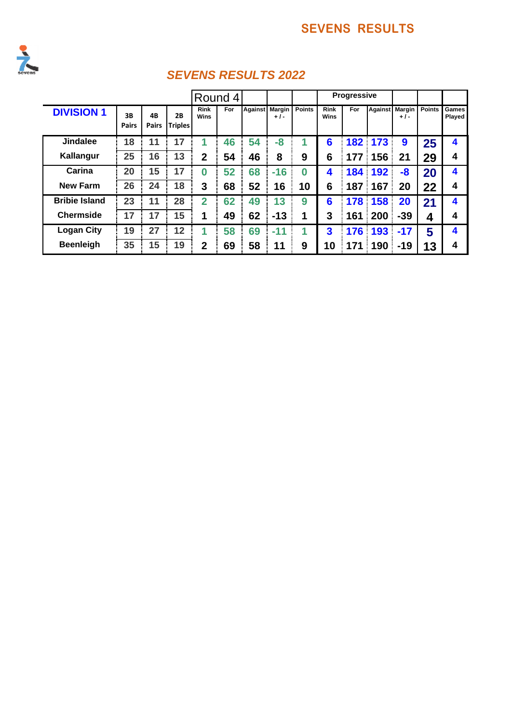

|                      |                    |                    |                      |                     | Round 4 |    |                         |               |                            | Progressive |     |                         |               |                 |
|----------------------|--------------------|--------------------|----------------------|---------------------|---------|----|-------------------------|---------------|----------------------------|-------------|-----|-------------------------|---------------|-----------------|
| <b>DIVISION 1</b>    | 3B<br><b>Pairs</b> | 4B<br><b>Pairs</b> | 2B<br><b>Triples</b> | <b>Rink</b><br>Wins | For     |    | Against Margin<br>$+1-$ | <b>Points</b> | <b>Rink</b><br><b>Wins</b> | For         |     | Against Margin<br>$+1-$ | <b>Points</b> | Games<br>Played |
| <b>Jindalee</b>      | 18                 | 11                 | 17                   | 1                   | 46      | 54 | $-8$                    | 1             | 6                          | 182         | 173 | 9                       | 25            | 4               |
| Kallangur            | 25                 | 16                 | 13                   | $\mathbf{2}$        | 54      | 46 | 8                       | 9             | 6                          | 177         | 156 | 21                      | 29            | 4               |
| Carina               | 20                 | 15                 | 17                   | 0                   | 52      | 68 | $-16$                   | $\Omega$      | 4                          | 184         | 192 | -8                      | 20            | 4               |
| <b>New Farm</b>      | 26                 | 24                 | 18                   | 3                   | 68      | 52 | 16                      | 10            | 6                          | 187         | 167 | 20                      | 22            | 4               |
| <b>Bribie Island</b> | 23                 | 11                 | 28                   | $\overline{2}$      | 62      | 49 | 13                      | 9             | 6                          | 178         | 158 | 20                      | 21            | 4               |
| <b>Chermside</b>     | 17                 | 17                 | 15                   | 1                   | 49      | 62 | $-13$                   | 1             | 3                          | 161         | 200 | $-39$                   | 4             | 4               |
| <b>Logan City</b>    | 19                 | 27                 | 12                   | 1                   | 58      | 69 | $-11$                   | 1             | 3                          | 176         | 193 | $-17$                   | 5             | 4               |
| <b>Beenleigh</b>     | 35                 | 15                 | 19                   | $\mathbf{2}$        | 69      | 58 | 11                      | 9             | 10                         | 171         | 190 | $-19$                   | 13            | 4               |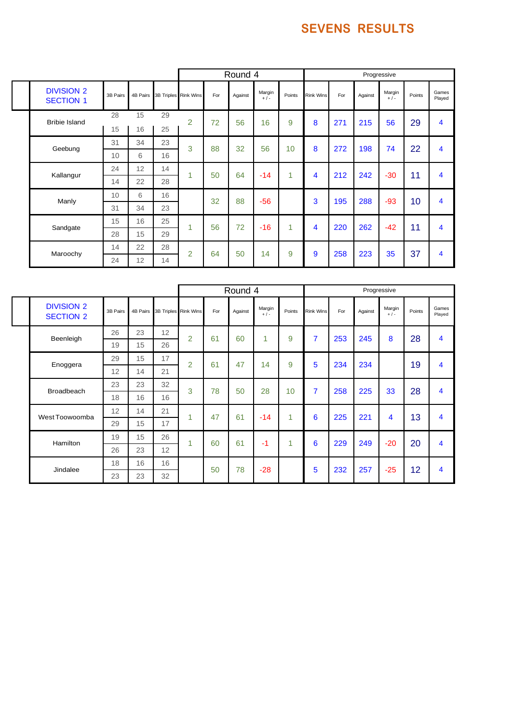|                                       |          |    |    |                               |     | Round 4 |                 |                 |                  |     |         | Progressive     |        |                 |
|---------------------------------------|----------|----|----|-------------------------------|-----|---------|-----------------|-----------------|------------------|-----|---------|-----------------|--------|-----------------|
| <b>DIVISION 2</b><br><b>SECTION 1</b> | 3B Pairs |    |    | 4B Pairs 3B Triples Rink Wins | For | Against | Margin<br>$+/-$ | Points          | <b>Rink Wins</b> | For | Against | Margin<br>$+/-$ | Points | Games<br>Played |
| <b>Bribie Island</b>                  | 28       | 15 | 29 | $\overline{2}$                | 72  | 56      | 16              | 9               | 8                | 271 | 215     | 56              | 29     | 4               |
|                                       | 15       | 16 | 25 |                               |     |         |                 |                 |                  |     |         |                 |        |                 |
| Geebung                               | 31       | 34 | 23 | 3                             | 88  | 32      | 56              | 10 <sup>1</sup> | 8                | 272 | 198     | 74              | 22     | 4               |
|                                       | 10       | 6  | 16 |                               |     |         |                 |                 |                  |     |         |                 |        |                 |
| Kallangur                             | 24       | 12 | 14 | 1                             | 50  | 64      | $-14$           | 1               | 4                | 212 | 242     | $-30$           | 11     | 4               |
|                                       | 14       | 22 | 28 |                               |     |         |                 |                 |                  |     |         |                 |        |                 |
| Manly                                 | 10       | 6  | 16 |                               | 32  | 88      | $-56$           |                 | 3                | 195 | 288     | $-93$           | 10     | 4               |
|                                       | 31       | 34 | 23 |                               |     |         |                 |                 |                  |     |         |                 |        |                 |
| Sandgate                              | 15       | 16 | 25 | 1                             | 56  | 72      | $-16$           | 1               | 4                | 220 | 262     | $-42$           | 11     | 4               |
|                                       | 28       | 15 | 29 |                               |     |         |                 |                 |                  |     |         |                 |        |                 |
|                                       | 14       | 22 | 28 | $\overline{2}$                | 64  | 50      | 14              | 9               | 9                | 258 | 223     | 35              | 37     | 4               |
| Maroochy                              | 24       | 12 | 14 |                               |     |         |                 |                 |                  |     |         |                 |        |                 |

|                                       |          |          |    |                      |     | Round 4 |                   |                 |                |     |         | Progressive       |        |                 |
|---------------------------------------|----------|----------|----|----------------------|-----|---------|-------------------|-----------------|----------------|-----|---------|-------------------|--------|-----------------|
| <b>DIVISION 2</b><br><b>SECTION 2</b> | 3B Pairs | 4B Pairs |    | 3B Triples Rink Wins | For | Against | Margin<br>$+$ / - | Points          | Rink Wins      | For | Against | Margin<br>$+$ / - | Points | Games<br>Played |
| Beenleigh                             | 26       | 23       | 12 | $\overline{2}$       | 61  | 60      | 1                 | 9               | $\overline{7}$ | 253 | 245     | 8                 | 28     | 4               |
|                                       | 19       | 15       | 26 |                      |     |         |                   |                 |                |     |         |                   |        |                 |
| Enoggera                              | 29       | 15       | 17 | $\overline{2}$       | 61  | 47      | 14                | 9               | 5              | 234 | 234     |                   | 19     | 4               |
|                                       | 12       | 14       | 21 |                      |     |         |                   |                 |                |     |         |                   |        |                 |
| <b>Broadbeach</b>                     | 23       | 23       | 32 | 3                    | 78  | 50      | 28                | 10 <sup>1</sup> | $\overline{7}$ | 258 | 225     | 33                | 28     | 4               |
|                                       | 18       | 16       | 16 |                      |     |         |                   |                 |                |     |         |                   |        |                 |
| West Toowoomba                        | 12       | 14       | 21 | 1                    | 47  | 61      | $-14$             | 1               | 6              | 225 | 221     | 4                 | 13     | 4               |
|                                       | 29       | 15       | 17 |                      |     |         |                   |                 |                |     |         |                   |        |                 |
| Hamilton                              | 19       | 15       | 26 | 1                    | 60  | 61      | $-1$              | 1               | 6              | 229 | 249     | $-20$             | 20     | 4               |
|                                       | 26       | 23       | 12 |                      |     |         |                   |                 |                |     |         |                   |        |                 |
| Jindalee                              | 18       | 16       | 16 |                      | 50  | 78      | $-28$             |                 | 5              | 232 | 257     | $-25$             | 12     | 4               |
|                                       | 23       | 23       | 32 |                      |     |         |                   |                 |                |     |         |                   |        |                 |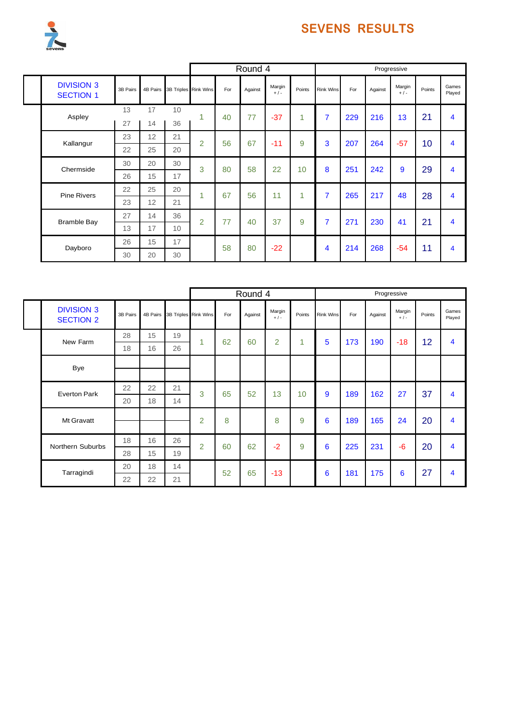

|  |                                       |          |          |    |                      |     | Round 4 |                 |        |                  |     |         | Progressive     |        |                         |
|--|---------------------------------------|----------|----------|----|----------------------|-----|---------|-----------------|--------|------------------|-----|---------|-----------------|--------|-------------------------|
|  | <b>DIVISION 3</b><br><b>SECTION 1</b> | 3B Pairs | 4B Pairs |    | 3B Triples Rink Wins | For | Against | Margin<br>$+/-$ | Points | <b>Rink Wins</b> | For | Against | Margin<br>$+/-$ | Points | Games<br>Played         |
|  | Aspley                                | 13       | 17       | 10 | 1                    | 40  | 77      | $-37$           | 1      | $\overline{7}$   | 229 | 216     | 13              | 21     | 4                       |
|  |                                       | 27       | 14       | 36 |                      |     |         |                 |        |                  |     |         |                 |        |                         |
|  | Kallangur                             | 23       | 12       | 21 | $\overline{2}$       | 56  | 67      | $-11$           | 9      | 3                | 207 | 264     | $-57$           | 10     | 4                       |
|  |                                       | 22       | 25       | 20 |                      |     |         |                 |        |                  |     |         |                 |        |                         |
|  | Chermside                             | 30       | 20       | 30 | 3                    | 80  | 58      | 22              | 10     | 8                | 251 | 242     | 9               | 29     | 4                       |
|  |                                       | 26       | 15       | 17 |                      |     |         |                 |        |                  |     |         |                 |        |                         |
|  | <b>Pine Rivers</b>                    | 22       | 25       | 20 | 1                    | 67  | 56      | 11              | 1      | $\overline{7}$   | 265 | 217     | 48              | 28     | $\overline{\mathbf{4}}$ |
|  |                                       | 23       | 12       | 21 |                      |     |         |                 |        |                  |     |         |                 |        |                         |
|  | <b>Bramble Bay</b>                    | 27       | 14       | 36 | $\overline{2}$       | 77  | 40      | 37              | 9      | $\overline{7}$   | 271 | 230     | 41              | 21     | 4                       |
|  |                                       | 13       | 17       | 10 |                      |     |         |                 |        |                  |     |         |                 |        |                         |
|  | Dayboro                               | 26       | 15       | 17 |                      | 58  | 80      | $-22$           |        | 4                | 214 | 268     | $-54$           | 11     | 4                       |
|  |                                       | 30       | 20       | 30 |                      |     |         |                 |        |                  |     |         |                 |        |                         |

|                                       |          |          |                               |                |     | Round 4 |                   |        |                  |     |         | Progressive       |        |                 |
|---------------------------------------|----------|----------|-------------------------------|----------------|-----|---------|-------------------|--------|------------------|-----|---------|-------------------|--------|-----------------|
| <b>DIVISION 3</b><br><b>SECTION 2</b> | 3B Pairs |          | 4B Pairs 3B Triples Rink Wins |                | For | Against | Margin<br>$+$ / - | Points | <b>Rink Wins</b> | For | Against | Margin<br>$+$ / - | Points | Games<br>Played |
| New Farm                              | 28       | 15       | 19                            | 1              | 62  | 60      | $\overline{2}$    | 1      | 5                | 173 | 190     | $-18$             | 12     | 4               |
|                                       | 18       | 16       | 26                            |                |     |         |                   |        |                  |     |         |                   |        |                 |
| Bye                                   |          |          |                               |                |     |         |                   |        |                  |     |         |                   |        |                 |
|                                       |          |          |                               |                |     |         |                   |        |                  |     |         |                   |        |                 |
| <b>Everton Park</b>                   | 22       | 22       | 21                            | 3              | 65  | 52      | 13                | 10     | 9                | 189 | 162     | 27                | 37     | 4               |
|                                       | 20       | 18       | 14                            |                |     |         |                   |        |                  |     |         |                   |        |                 |
| Mt Gravatt                            |          |          |                               | 2              | 8   |         | 8                 | 9      | 6                | 189 | 165     | 24                | 20     | 4               |
|                                       |          |          |                               |                |     |         |                   |        |                  |     |         |                   |        |                 |
| Northern Suburbs                      | 18       | 16       | 26                            | $\overline{2}$ | 60  | 62      | $-2$              | 9      | 6                | 225 | 231     | $-6$              | 20     | 4               |
|                                       | 28       | 15       | 19                            |                |     |         |                   |        |                  |     |         |                   |        |                 |
| Tarragindi                            | 20       | 18<br>14 |                               | 52             | 65  | $-13$   |                   | 6      | 181              | 175 | 6       | 27                | 4      |                 |
|                                       | 22       | 22       | 21                            |                |     |         |                   |        |                  |     |         |                   |        |                 |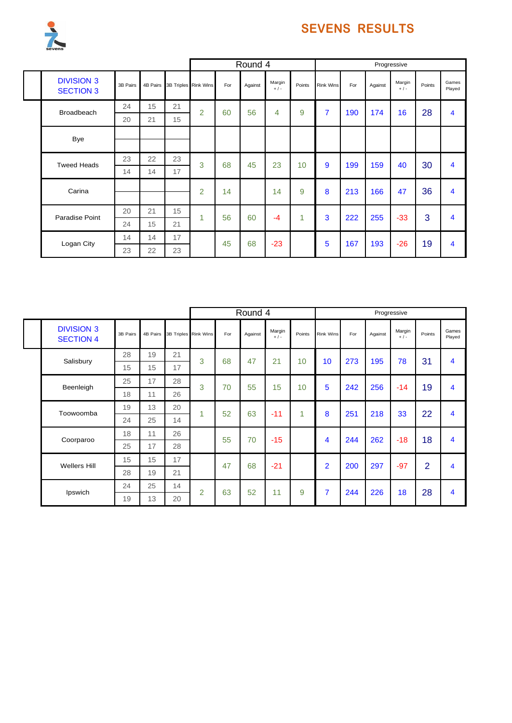

|                                       |          |          |    |                      |     | Round 4 |                   |        |                  |     |         | Progressive       |        |                 |
|---------------------------------------|----------|----------|----|----------------------|-----|---------|-------------------|--------|------------------|-----|---------|-------------------|--------|-----------------|
| <b>DIVISION 3</b><br><b>SECTION 3</b> | 3B Pairs | 4B Pairs |    | 3B Triples Rink Wins | For | Against | Margin<br>$+$ / - | Points | <b>Rink Wins</b> | For | Against | Margin<br>$+$ / - | Points | Games<br>Played |
| <b>Broadbeach</b>                     | 24       | 15       | 21 | $\overline{2}$       | 60  | 56      | 4                 | 9      | $\overline{7}$   | 190 | 174     | 16                | 28     | 4               |
|                                       | 20       | 21       | 15 |                      |     |         |                   |        |                  |     |         |                   |        |                 |
| Bye                                   |          |          |    |                      |     |         |                   |        |                  |     |         |                   |        |                 |
| <b>Tweed Heads</b>                    | 23       | 22       | 23 | 3                    | 68  | 45      | 23                | 10     | 9                | 199 | 159     | 40                | 30     | 4               |
|                                       | 14       | 14       | 17 |                      |     |         |                   |        |                  |     |         |                   |        |                 |
| Carina                                |          |          |    | $\overline{2}$       | 14  |         | 14                | 9      | 8                | 213 | 166     | 47                | 36     | 4               |
| Paradise Point                        | 20       | 21       | 15 | 1                    | 56  | 60      | $-4$              | 1      | 3                | 222 | 255     | $-33$             | 3      | 4               |
|                                       | 24       | 15       | 21 |                      |     |         |                   |        |                  |     |         |                   |        |                 |
| Logan City                            | 14       | 14       | 17 |                      | 45  | 68      | $-23$             |        | 5                | 167 | 193     | $-26$             | 19     | 4               |
|                                       | 23       | 22       | 23 |                      |     |         |                   |        |                  |     |         |                   |        |                 |

|                                       |          |          |                      |                |     | Round 4 |                 |                 |                         |     |         | Progressive     |                |                         |
|---------------------------------------|----------|----------|----------------------|----------------|-----|---------|-----------------|-----------------|-------------------------|-----|---------|-----------------|----------------|-------------------------|
| <b>DIVISION 3</b><br><b>SECTION 4</b> | 3B Pairs | 4B Pairs | 3B Triples Rink Wins |                | For | Against | Margin<br>$+/-$ | Points          | Rink Wins               | For | Against | Margin<br>$+/-$ | Points         | Games<br>Played         |
| Salisbury                             | 28       | 19       | 21                   | 3              | 68  | 47      | 21              | 10 <sup>1</sup> | 10 <sup>1</sup>         | 273 | 195     | 78              | 31             | 4                       |
|                                       | 15       | 15       | 17                   |                |     |         |                 |                 |                         |     |         |                 |                |                         |
| Beenleigh                             | 25       | 17       | 28                   | 3              | 70  | 55      | 15              | 10              | 5                       | 242 | 256     | $-14$           | 19             | 4                       |
|                                       | 18       | 11       | 26                   |                |     |         |                 |                 |                         |     |         |                 |                |                         |
| Toowoomba                             | 19       | 13       | 20                   | 1              | 52  | 63      | $-11$           | 1               | 8                       | 251 | 218     | 33              | 22             | 4                       |
|                                       | 24       | 25       | 14                   |                |     |         |                 |                 |                         |     |         |                 |                |                         |
| Coorparoo                             | 18       | 11       | 26                   |                | 55  | 70      | $-15$           |                 | $\overline{\mathbf{4}}$ | 244 | 262     | $-18$           | 18             | 4                       |
|                                       | 25       | 17       | 28                   |                |     |         |                 |                 |                         |     |         |                 |                |                         |
| <b>Wellers Hill</b>                   | 15       | 15       | 17                   |                | 47  | 68      | $-21$           |                 | $\overline{2}$          | 200 | 297     | $-97$           | $\overline{2}$ | 4                       |
|                                       | 28       | 19       | 21                   |                |     |         |                 |                 |                         |     |         |                 |                |                         |
|                                       | 24       | 25       | 14                   | $\overline{2}$ | 63  | 52      | 11              | 9               | $\overline{7}$          | 244 | 226     | 18              | 28             | $\overline{\mathbf{4}}$ |
| Ipswich                               | 19       | 13       | 20                   |                |     |         |                 |                 |                         |     |         |                 |                |                         |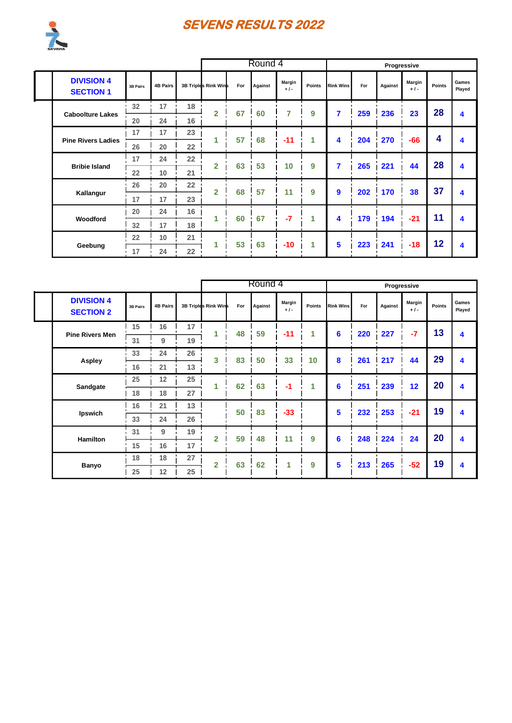

|  |                                       |                 |                 |    |                      |     | Round 4 |                 |        |                  |     |         | Progressive     |               |                 |
|--|---------------------------------------|-----------------|-----------------|----|----------------------|-----|---------|-----------------|--------|------------------|-----|---------|-----------------|---------------|-----------------|
|  | <b>DIVISION 4</b><br><b>SECTION 1</b> | 3B Pairs        | <b>4B Pairs</b> |    | 3B Triples Rink Wins | For | Against | Margin<br>$+1-$ | Points | <b>Rink Wins</b> | For | Against | Margin<br>$+1-$ | <b>Points</b> | Games<br>Played |
|  |                                       | 32 <sup>2</sup> | 17              | 18 |                      |     |         | 7               | 9      | 7                | 259 |         | 23              | 28            |                 |
|  | <b>Caboolture Lakes</b>               | 20              | 24              | 16 | $\overline{2}$       | 67  | 60      |                 |        |                  |     | 236     |                 |               | 4               |
|  |                                       | 17              | 17              | 23 |                      | 57  | 68      | $-11$           | 1      | 4                |     |         | $-66$           | 4             |                 |
|  | <b>Pine Rivers Ladies</b>             | 26<br>20        | 22              |    |                      |     |         |                 |        | 204              | 270 |         |                 | 4             |                 |
|  |                                       | 17              | 24              | 22 | $\overline{2}$       | 63  | 53      | 10              | 9      | 7                | 265 |         | 44              | 28            | 4               |
|  | <b>Bribie Island</b>                  | 22              | 10              | 21 |                      |     |         |                 |        |                  |     | 221     |                 |               |                 |
|  |                                       | 26              | 20              | 22 | $\overline{2}$       | 68  | 57      | 11              | 9      | $\mathbf{9}$     | 202 | 170     | 38              | 37            | 4               |
|  | Kallangur                             | 17              | 17              | 23 |                      |     |         |                 |        |                  |     |         |                 |               |                 |
|  |                                       | 20              | 24              | 16 | 1                    | 60  | 67      | $-7$            | 1      | 4                | 179 | 194     | $-21$           | 11            | 4               |
|  | Woodford                              | 32              | 17              | 18 |                      |     |         |                 |        |                  |     |         |                 |               |                 |
|  | Geebung                               | 22              | 10              | 21 | 4                    | 53  | 63      | $-10$           | 1      | 5                | 223 | 241     | $-18$           | 12            | 4               |
|  |                                       | 17              | 24              | 22 |                      |     |         |                 |        |                  |     |         |                 |               |                 |

|  |                                       |                |                 |    |                      | Round 4 |         |                        |               |                  |     | Progressive |                 |        |                 |
|--|---------------------------------------|----------------|-----------------|----|----------------------|---------|---------|------------------------|---------------|------------------|-----|-------------|-----------------|--------|-----------------|
|  | <b>DIVISION 4</b><br><b>SECTION 2</b> | 3B Pairs       | <b>4B Pairs</b> |    | 3B Triples Rink Wins | For     | Against | <b>Margin</b><br>$+1-$ | <b>Points</b> | <b>Rink Wins</b> | For | Against     | Margin<br>$+1-$ | Points | Games<br>Played |
|  | <b>Pine Rivers Men</b>                | 15             | 16              | 17 |                      | 48      | 59      | $-11$                  | 1             | 6                | 220 | 227         | $-7$            | 13     | 4               |
|  |                                       | 31             | 9               | 19 |                      |         |         |                        |               |                  |     |             |                 |        |                 |
|  |                                       | 33             | 24              | 26 | 3                    | 83      | 50      | 33                     | 10            | 8                | 261 | 217         | 44              | 29     | 4               |
|  | <b>Aspley</b>                         | 16             | 21              | 13 |                      |         |         |                        |               |                  |     |             |                 |        |                 |
|  | Sandgate                              | 25<br>25<br>12 |                 | 62 | 63                   | $-1$    | 1       | 6                      | 251           | 239              | 12  | 20          | 4               |        |                 |
|  |                                       | 18             | 27<br>18        |    |                      |         |         |                        |               |                  |     |             |                 |        |                 |
|  | Ipswich                               | 16             | 21              | 13 |                      | 50      | 83      | $-33$                  |               | 5                | 232 | 253         | $-21$           | 19     | 4               |
|  |                                       | 33             | 24              | 26 |                      |         |         |                        |               |                  |     |             |                 |        |                 |
|  | <b>Hamilton</b>                       | 31             | 9               | 19 | $\overline{2}$       | 59      | 48      | 11                     | 9             | 6                | 248 | 224         | 24              | 20     | 4               |
|  |                                       | 15             | 16              | 17 |                      |         |         |                        |               |                  |     |             |                 |        |                 |
|  | Banyo                                 | 18             | 18              | 27 | $\overline{2}$       | 63      | 62      | 1                      | 9             | 5                | 213 | 265         | $-52$           | 19     | 4               |
|  |                                       | 25             | 12              | 25 |                      |         |         |                        |               |                  |     |             |                 |        |                 |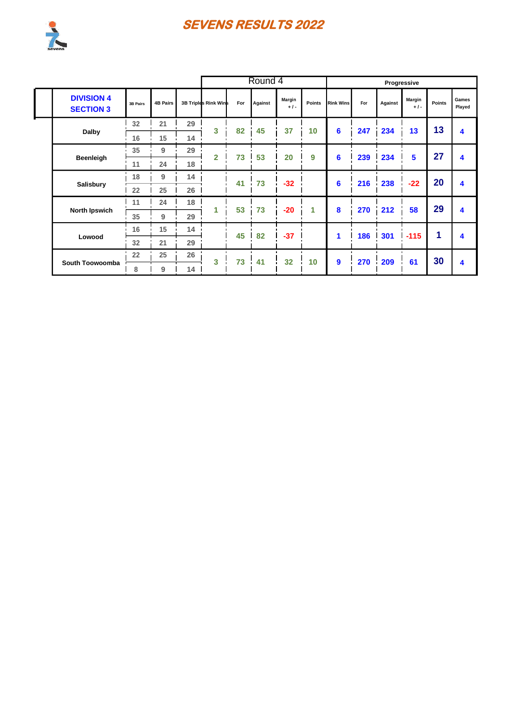

|                                       |                |                 |    |                      |     | Round 4              |                 |               |                  |     |         | Progressive     |               |                 |
|---------------------------------------|----------------|-----------------|----|----------------------|-----|----------------------|-----------------|---------------|------------------|-----|---------|-----------------|---------------|-----------------|
| <b>DIVISION 4</b><br><b>SECTION 3</b> | 3B Pairs       | <b>4B Pairs</b> |    | 3B Triples Rink Wins | For | Against              | Margin<br>$+1-$ | <b>Points</b> | <b>Rink Wins</b> | For | Against | Margin<br>$+1-$ | <b>Points</b> | Games<br>Played |
|                                       | 32             | 21              | 29 | 3                    | 82  | 45                   | 37              | 10            | 6                | 247 | 234     | 13              | 13            |                 |
| Dalby                                 | 16             | 15              | 14 |                      |     |                      |                 |               |                  |     |         |                 |               | 4               |
|                                       | 35             | 9               | 29 | $\overline{2}$       | 73  | 53                   | 20              | 9             | 6                | 239 | 234     | 5               | 27            | 4               |
| Beenleigh                             | 11             | 24              | 18 |                      |     |                      |                 |               |                  |     |         |                 |               |                 |
| Salisbury                             | 18             | 9               | 14 | $\blacksquare$       | 41  | 73<br>$\blacksquare$ | $-32$           |               | 6                | 216 | 238     | $-22$           | 20            | 4               |
|                                       | 22             | 25              | 26 |                      |     |                      |                 |               |                  |     |         |                 |               |                 |
|                                       | 11             | 24              | 18 |                      | 53  | 73                   | $-20$           | 1             | 8                | 270 | 212     | 58              | 29            | 4               |
| <b>North Ipswich</b>                  | 35             | 9               | 29 |                      |     |                      |                 |               |                  |     |         |                 |               |                 |
| Lowood                                | 16             | 15              | 14 |                      | 45  | 82                   | $-37$           |               | 1                | 186 | 301     | $-115$          | 1             | 4               |
|                                       | 32             | 21              | 29 |                      |     |                      |                 |               |                  |     |         |                 |               |                 |
|                                       | 22<br>25<br>26 | 3               | 73 | 41                   | 32  | 10                   | 9               | 270           | 209              | 61  | 30      | 4               |               |                 |
| South Toowoomba                       | 8              | 9               | 14 |                      |     |                      |                 |               |                  |     |         |                 |               |                 |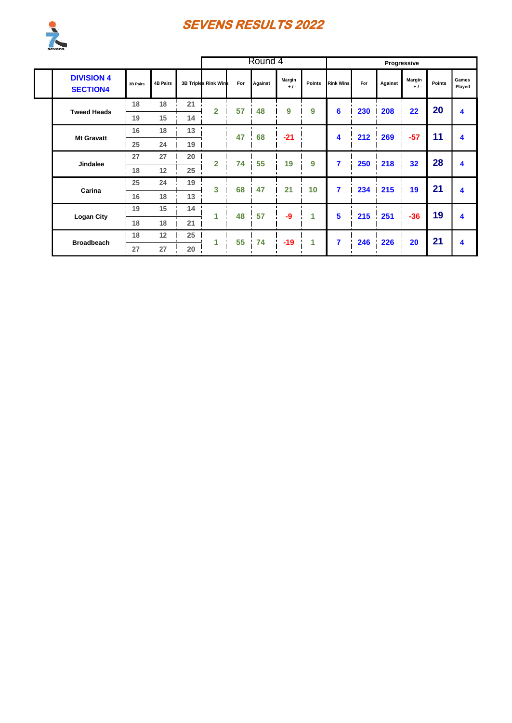

|                                      |                               |                 |    |                         |     | Round 4 |                       |                 |                  |     |         | Progressive     |               |                 |
|--------------------------------------|-------------------------------|-----------------|----|-------------------------|-----|---------|-----------------------|-----------------|------------------|-----|---------|-----------------|---------------|-----------------|
| <b>DIVISION 4</b><br><b>SECTION4</b> | 3B Pairs                      | <b>4B Pairs</b> |    | 3B Triples Rink Wins    | For | Against | <b>Margin</b><br>$+1$ | <b>Points</b>   | <b>Rink Wins</b> | For | Against | Margin<br>$+1-$ | <b>Points</b> | Games<br>Played |
|                                      | 18                            | 18              | 21 | $\overline{\mathbf{2}}$ | 57  | 48      | 9                     | 9               | 6                | 230 | 208     | 22              | 20            | 4               |
| <b>Tweed Heads</b>                   | 19                            | 15              | 14 |                         |     |         |                       |                 |                  |     |         |                 |               |                 |
| <b>Mt Gravatt</b>                    | 16                            | 18              | 13 |                         | 47  | 68      | $-21$                 |                 | 4                | 212 | 269     | $-57$           | 11            | 4               |
|                                      | 25                            | 24              | 19 |                         |     |         |                       |                 |                  |     |         |                 |               |                 |
| <b>Jindalee</b>                      | 27<br>20<br>27                | $\overline{2}$  | 74 | 55                      | 19  | 9       | 7                     | 250             | 218              | 32  | 28      | 4               |               |                 |
|                                      | 18                            | 12              | 25 |                         |     |         |                       |                 |                  |     |         |                 |               |                 |
| Carina                               | 25                            | 24              | 19 | 3                       | 68  | 47      | 21                    | 10 <sup>1</sup> | 7                | 234 | 215     | 19              | 21            | 4               |
|                                      | 16                            | 18              | 13 |                         |     |         |                       |                 |                  |     |         |                 |               |                 |
|                                      | 19                            | 15              | 14 | 1                       | 48  | 57      | $-9$                  | 1               | 5                | 215 | 251     | $-36$           | 19            | 4               |
|                                      | <b>Logan City</b><br>18<br>18 | 21              |    |                         |     |         |                       |                 |                  |     |         |                 |               |                 |
| 18<br><b>Broadbeach</b>              |                               | 12              | 25 | 1                       | 55  | 74      | $-19$                 | 1               | 7                | 246 | 226     | 20              | 21            | 4               |
|                                      | 27                            | 27              | 20 |                         |     |         |                       |                 |                  |     |         |                 |               |                 |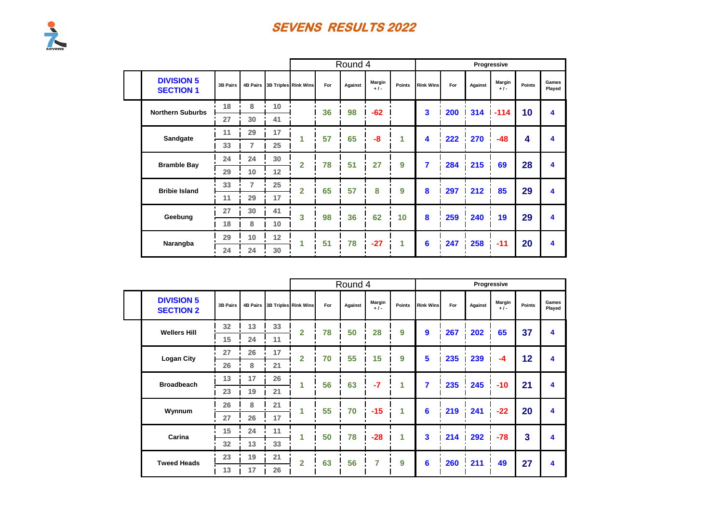|                                       |                 |                |    |                               |     | Round 4 |                 |        |                  |     |         | Progressive    |        |                 |
|---------------------------------------|-----------------|----------------|----|-------------------------------|-----|---------|-----------------|--------|------------------|-----|---------|----------------|--------|-----------------|
| <b>DIVISION 5</b><br><b>SECTION 1</b> | <b>3B Pairs</b> |                |    | 4B Pairs 3B Triples Rink Wins | For | Against | Margin<br>$+1-$ | Points | <b>Rink Wins</b> | For | Against | Margin<br>$+1$ | Points | Games<br>Played |
| <b>Northern Suburbs</b>               | 18              | 8              | 10 |                               | 36  | 98      | $-62$           |        | 3                | 200 | 314     | $-114$         | 10     | 4               |
|                                       | 27              | 30             | 41 |                               |     |         |                 |        |                  |     |         |                |        |                 |
| Sandgate                              | 11              | 29             | 17 | 1                             | 57  | 65      | $-8$            |        | 4                | 222 | 270     | $-48$          | 4      | 4               |
|                                       | 33              |                | 25 |                               |     |         |                 |        |                  |     |         |                |        |                 |
| <b>Bramble Bay</b>                    | 24              | 24             | 30 | $\overline{2}$                | 78  | 51      | 27              | 9      | 7                | 284 | 215     | 69             | 28     | 4               |
|                                       | 29              | 10             | 12 |                               |     |         |                 |        |                  |     |         |                |        |                 |
| <b>Bribie Island</b>                  | 33              | $\overline{7}$ | 25 | $\overline{2}$                | 65  | 57      | 8               | 9      | 8                | 297 | 212     | 85             | 29     | 4               |
|                                       | 11              | 29             | 17 |                               |     |         |                 |        |                  |     |         |                |        |                 |
| Geebung                               | 27              | 30             | 41 | 3                             | 98  | 36      | 62              | 10     | 8                | 259 | 240     | 19             | 29     | 4               |
|                                       | 18              | 8              | 10 |                               |     |         |                 |        |                  |     |         |                |        |                 |
| Narangba                              | 29              | 10             | 12 | 1                             | 51  | 78      | $-27$           |        | 6                | 247 | 258     | $-11$          | 20     | 4               |
|                                       | 24              | 24             | 30 |                               |     |         |                 |        |                  |     |         |                |        |                 |

|                                       |                 |          |    |                      |     | Round 4 |                |               |                  |     |         | Progressive     |               |                 |
|---------------------------------------|-----------------|----------|----|----------------------|-----|---------|----------------|---------------|------------------|-----|---------|-----------------|---------------|-----------------|
| <b>DIVISION 5</b><br><b>SECTION 2</b> | <b>3B Pairs</b> | 4B Pairs |    | 3B Triples Rink Wins | For | Against | Margin<br>$+1$ | <b>Points</b> | <b>Rink Wins</b> | For | Against | Margin<br>$+1-$ | <b>Points</b> | Games<br>Played |
| <b>Wellers Hill</b>                   | 32              | 13       | 33 | $\overline{2}$       | 78  | 50      | 28             | 9             | 9                | 267 | 202     | 65              | 37            | 4               |
|                                       | 15              | 24       | 11 |                      |     |         |                |               |                  |     |         |                 |               |                 |
| <b>Logan City</b>                     | 27              | 26       | 17 | $\overline{2}$       | 70  | 55      | 15             | 9             | 5                | 235 | 239     | -4              | 12            | 4               |
|                                       | 26              | 8        | 21 |                      |     |         |                |               |                  |     |         |                 |               |                 |
| <b>Broadbeach</b>                     | 13              | 17       | 26 |                      | 56  | 63      | $-7$           | 1             | 7                | 235 | 245     | $-10$           | 21            | 4               |
|                                       | 23              | 19       | 21 |                      |     |         |                |               |                  |     |         |                 |               |                 |
| Wynnum                                | 26              | 8        | 21 | и                    | 55  | 70      | $-15$          | 1             | 6                | 219 | 241     | $-22$           | 20            | 4               |
|                                       | 27              | 26       | 17 |                      |     |         |                |               |                  |     |         |                 |               |                 |
| Carina                                | 15              | 24       | 11 |                      | 50  | 78      | $-28$          | 1             | 3                | 214 | 292     | $-78$           | 3             | 4               |
|                                       | 32              | 13       | 33 |                      |     |         |                |               |                  |     |         |                 |               |                 |
| <b>Tweed Heads</b>                    | 23              | 19       | 21 | $\overline{2}$       | 63  | 56      | 7              | 9             | 6                | 260 | 211     | 49              | 27            | 4               |
|                                       | 13              | 17       | 26 |                      |     |         |                |               |                  |     |         |                 |               |                 |

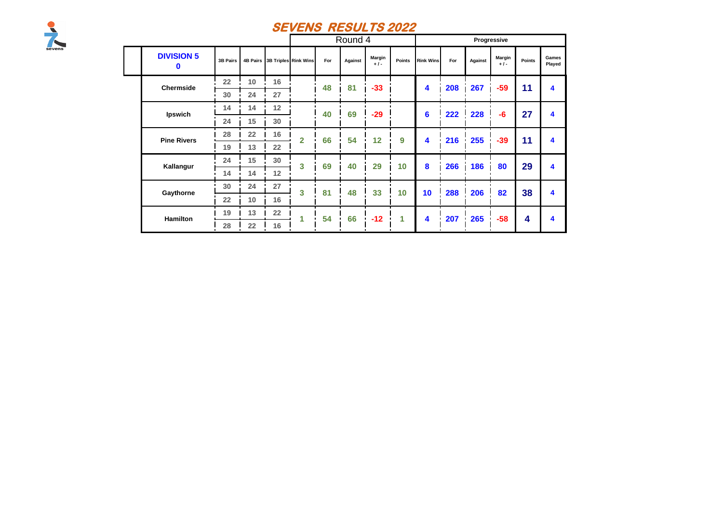

|  |                        |          |    |    |                               |     | Round 4 |                 |               |                  |     |         | Progressive     |        |                 |
|--|------------------------|----------|----|----|-------------------------------|-----|---------|-----------------|---------------|------------------|-----|---------|-----------------|--------|-----------------|
|  | <b>DIVISION 5</b><br>0 | 3B Pairs |    |    | 4B Pairs 3B Triples Rink Wins | For | Against | Margin<br>$+1-$ | <b>Points</b> | <b>Rink Wins</b> | For | Against | Margin<br>$+1-$ | Points | Games<br>Played |
|  | <b>Chermside</b>       | 22       | 10 | 16 |                               | 48  | 81      | $-33$           |               | 4                | 208 | 267     | -59             | 11     | 4               |
|  |                        | 30       | 24 | 27 |                               |     |         |                 |               |                  |     |         |                 |        |                 |
|  | Ipswich                | 14       | 14 | 12 |                               | 40  | 69      | $-29$           |               | 6                | 222 | 228     | $-6$            | 27     | 4               |
|  |                        | 24       | 15 | 30 |                               |     |         |                 |               |                  |     |         |                 |        |                 |
|  | <b>Pine Rivers</b>     | 28       | 22 | 16 | $\overline{2}$                | 66  | 54      | 12              | 9             | 4                | 216 | 255     | $-39$           | 11     | 4               |
|  |                        | 19       | 13 | 22 |                               |     |         |                 |               |                  |     |         |                 |        |                 |
|  | Kallangur              | 24       | 15 | 30 | 3                             | 69  | 40      | 29              | 10            | 8                | 266 | 186     | 80              | 29     | 4               |
|  |                        | 14       | 14 | 12 |                               |     |         |                 |               |                  |     |         |                 |        |                 |
|  |                        | 30       | 24 | 27 | 3                             | 81  | 48      | 33              | 10            | 10               | 288 | 206     | 82              | 38     | 4               |
|  | Gaythorne<br>Hamilton  | 22       | 10 | 16 |                               |     |         |                 |               |                  |     |         |                 |        |                 |
|  |                        | 19       | 13 | 22 | 1                             | 54  | 66      | $-12$           | 1             | 4                | 207 | 265     | $-58$           | 4      | 4               |
|  |                        | 28       | 22 | 16 |                               |     |         |                 |               |                  |     |         |                 |        |                 |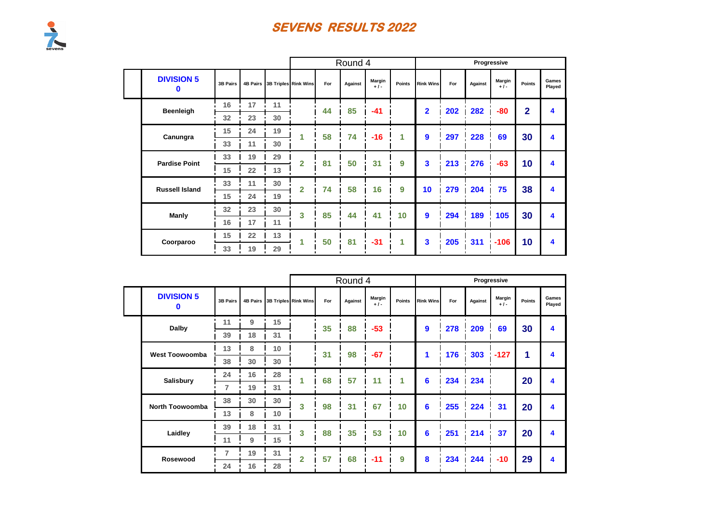|                        |          |    |                               |                |     | Round 4 |                 |               |                  |     |         | Progressive    |              |                         |
|------------------------|----------|----|-------------------------------|----------------|-----|---------|-----------------|---------------|------------------|-----|---------|----------------|--------------|-------------------------|
| <b>DIVISION 5</b><br>0 | 3B Pairs |    | 4B Pairs 3B Triples Rink Wins |                | For | Against | Margin<br>$+1-$ | <b>Points</b> | <b>Rink Wins</b> | For | Against | Margin<br>$+1$ | Points       | Games<br>Played         |
| Beenleigh              | 16       | 17 | 11                            |                | 44  | 85      | $-41$           |               | $\mathbf{2}$     | 202 | 282     | $-80$          | $\mathbf{2}$ | 4                       |
|                        | 32       | 23 | 30                            |                |     |         |                 |               |                  |     |         |                |              |                         |
| Canungra               | 15       | 24 | 19                            |                | 58  | 74      | $-16$           | 1             | 9                | 297 | 228     | 69             | 30           | $\overline{\mathbf{4}}$ |
|                        | 33       | 11 | 30                            |                |     |         |                 |               |                  |     |         |                |              |                         |
| <b>Pardise Point</b>   | 33       | 19 | 29                            | $\overline{2}$ | 81  | 50      | 31              | 9             | 3                | 213 | 276     | $-63$          | 10           | $\overline{\mathbf{4}}$ |
|                        | 15       | 22 | 13                            |                |     |         |                 |               |                  |     |         |                |              |                         |
| <b>Russell Island</b>  | 33       | 11 | 30                            | $\mathbf{2}$   | 74  | 58      | 16              | 9             | 10               | 279 | 204     | 75             | 38           | $\overline{\mathbf{4}}$ |
|                        | 15       | 24 | 19                            |                |     |         |                 |               |                  |     |         |                |              |                         |
| Manly                  | 32       | 23 | 30                            | 3              | 85  | 44      | 41              | 10            | $\mathbf{9}$     | 294 | 189     | 105            | 30           | $\overline{\mathbf{4}}$ |
|                        | 16       | 17 | 11                            |                |     |         |                 |               |                  |     |         |                |              |                         |
| Coorparoo              | 15       | 22 | 13                            |                | 50  | 81      | $-31$           | 1             | 3                | 205 | 311     | $-106$         | 10           | 4                       |
|                        | 33       | 19 | 29                            |                |     |         |                 |               |                  |     |         |                |              |                         |

|                        |          |    |    |                               |     | Round 4 |                 |                 |                  |     |         | Progressive     |        |                 |
|------------------------|----------|----|----|-------------------------------|-----|---------|-----------------|-----------------|------------------|-----|---------|-----------------|--------|-----------------|
| <b>DIVISION 5</b><br>0 | 3B Pairs |    |    | 4B Pairs 3B Triples Rink Wins | For | Against | Margin<br>$+1-$ | Points          | <b>Rink Wins</b> | For | Against | Margin<br>$+1-$ | Points | Games<br>Played |
| Dalby                  | 11       | 9  | 15 |                               | 35  | 88      | $-53$           |                 | $\mathbf{9}$     | 278 | 209     | 69              | 30     | 4               |
|                        | 39       | 18 | 31 |                               |     |         |                 |                 |                  |     |         |                 |        |                 |
| <b>West Toowoomba</b>  | 13       | 8  | 10 |                               | 31  | 98      | $-67$           |                 |                  | 176 | 303     | $-127$          | 1      | 4               |
|                        | 38       | 30 | 30 |                               |     |         |                 |                 |                  |     |         |                 |        |                 |
| <b>Salisbury</b>       | 24       | 16 | 28 | 1                             | 68  | 57      | 11              | 4               | 6                | 234 | 234     |                 | 20     | 4               |
|                        | 7        | 19 | 31 |                               |     |         |                 |                 |                  |     |         |                 |        |                 |
| <b>North Toowoomba</b> | 38       | 30 | 30 | 3                             | 98  | 31      | 67              | 10 <sup>1</sup> | 6                | 255 | 224     | 31              | 20     | 4               |
|                        | 13       | 8  | 10 |                               |     |         |                 |                 |                  |     |         |                 |        |                 |
| Laidley                | 39       | 18 | 31 | 3                             | 88  | 35      | 53              | 10              | 6                | 251 | 214     | 37              | 20     | 4               |
|                        | 11       | 9  | 15 |                               |     |         |                 |                 |                  |     |         |                 |        |                 |
| Rosewood               | 7        | 19 | 31 | $\overline{2}$                | 57  | 68      | $-11$           | 9               | 8                | 234 | 244     | $-10$           | 29     | 4               |
|                        | 24       | 16 | 28 |                               |     |         |                 |                 |                  |     |         |                 |        |                 |

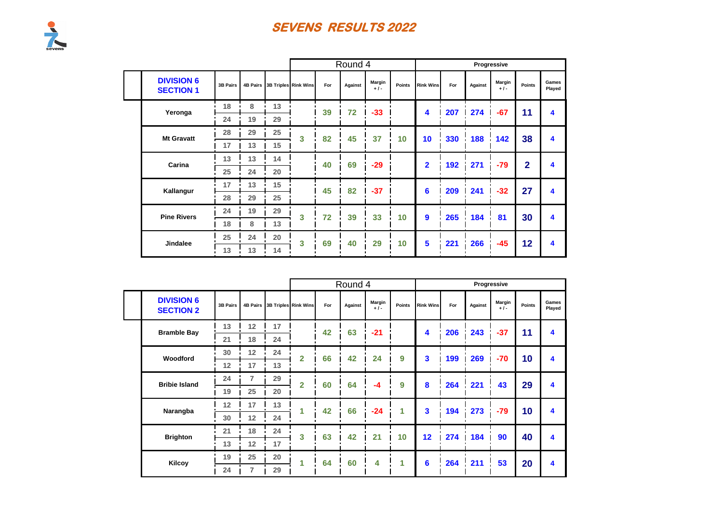|                                       |          |    |    |                               |     | Round 4 |                 |        |                  |     |                     | Progressive     |                |                 |
|---------------------------------------|----------|----|----|-------------------------------|-----|---------|-----------------|--------|------------------|-----|---------------------|-----------------|----------------|-----------------|
| <b>DIVISION 6</b><br><b>SECTION 1</b> | 3B Pairs |    |    | 4B Pairs 3B Triples Rink Wins | For | Against | Margin<br>$+1-$ | Points | <b>Rink Wins</b> | For | Against             | Margin<br>$+1-$ | Points         | Games<br>Played |
| Yeronga                               | 18       | 8  | 13 |                               | 39  | 72      | $-33$           |        | 4                | 207 | 274                 | $-67$           | 11             | 4               |
|                                       | 24       | 19 | 29 |                               |     |         |                 |        |                  |     |                     |                 |                |                 |
| <b>Mt Gravatt</b>                     | 28       | 29 | 25 | 3                             | 82  | 45      | 37              | 10     | 10               | 330 | 188<br>$\mathbf{r}$ | 142             | 38             | 4               |
|                                       | 17       | 13 | 15 |                               |     |         |                 |        |                  |     |                     |                 |                |                 |
| Carina                                | 13       | 13 | 14 |                               | 40  | 69      | $-29$           |        | $\overline{2}$   | 192 | 271                 | $-79$           | $\overline{2}$ | 4               |
|                                       | 25       | 24 | 20 |                               |     |         |                 |        |                  |     |                     |                 |                |                 |
| Kallangur                             | 17       | 13 | 15 |                               | 45  | 82      | $-37$           |        | 6                | 209 | 241                 | $-32$           | 27             | 4               |
|                                       | 28       | 29 | 25 |                               |     |         |                 |        |                  |     |                     |                 |                |                 |
| <b>Pine Rivers</b>                    | 24       | 19 | 29 | 3                             | 72  | 39      | 33              | 10     | $\mathbf{9}$     | 265 | 184                 | 81              | 30             | 4               |
|                                       | 18       | 8  | 13 |                               |     |         |                 |        |                  |     |                     |                 |                |                 |
| <b>Jindalee</b>                       | 25       | 24 | 20 | 3                             | 69  | 40      | 29              | 10     | 5                | 221 | 266                 | $-45$           | 12             | 4               |
|                                       | 13       | 13 | 14 |                               |     |         |                 |        |                  |     |                     |                 |                |                 |

|                                       |          |                   |                               |                |     | Round 4 |                |               |                  |     |         | Progressive     |        |                 |
|---------------------------------------|----------|-------------------|-------------------------------|----------------|-----|---------|----------------|---------------|------------------|-----|---------|-----------------|--------|-----------------|
| <b>DIVISION 6</b><br><b>SECTION 2</b> | 3B Pairs |                   | 4B Pairs 3B Triples Rink Wins |                | For | Against | Margin<br>$+1$ | <b>Points</b> | <b>Rink Wins</b> | For | Against | Margin<br>$+1-$ | Points | Games<br>Played |
| <b>Bramble Bay</b>                    | 13       | 12 <sub>2</sub>   | 17                            |                | 42  | 63      | $-21$          |               | 4                | 206 |         |                 | 11     | 4               |
|                                       | 21       | 18                | 24                            |                |     |         |                |               |                  |     | 243     | $-37$           |        |                 |
| Woodford                              | 30       | $12 \overline{ }$ | 24                            | $\overline{2}$ | 66  | 42      | 24             | 9             | 3                | 199 | 269     | $-70$           | 10     | 4               |
|                                       | 12       | 17                | 13                            |                |     |         |                |               |                  |     |         |                 |        |                 |
| <b>Bribie Island</b>                  | 24       | 7                 | 29                            | $\overline{2}$ | 60  | 64      | $-4$           | 9             | 8                | 264 | 221     | 43              | 29     | 4               |
|                                       | 19       | 25                | 20                            |                |     |         |                |               |                  |     |         |                 |        |                 |
| Narangba                              | 12       | 17                | 13                            | 1              | 42  | 66      | $-24$          | 1             | 3                | 194 | 273     | $-79$           | 10     | 4               |
|                                       | 30       | 12                | 24                            |                |     |         |                |               |                  |     |         |                 |        |                 |
| <b>Brighton</b>                       | 21       | 18                | 24                            | 3              | 63  | 42      | 21             | 10            | 12               | 274 | 184     | 90              | 40     | 4               |
|                                       | 13       | 12                | 17                            |                |     |         |                |               |                  |     |         |                 |        |                 |
| <b>Kilcoy</b>                         | 19       | 25                | 20                            | 1              | 64  | 60      | 4              | 1             | 6                | 264 | 211     | 53              | 20     | 4               |
|                                       | 24       | 7                 | 29                            |                |     |         |                |               |                  |     |         |                 |        |                 |

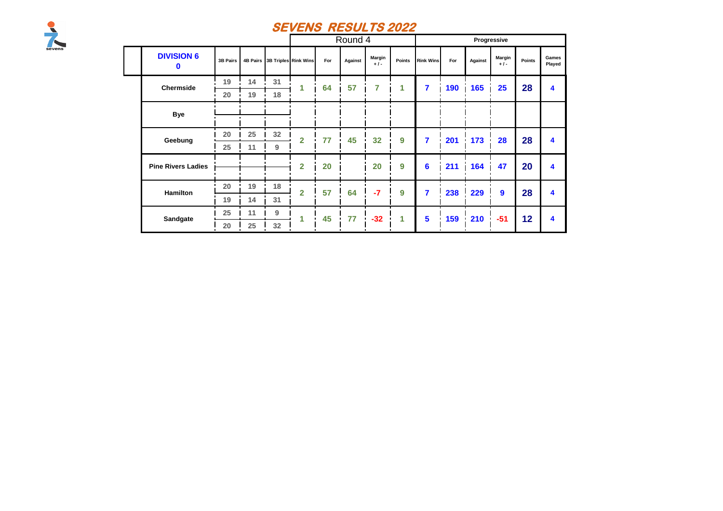

|                                  |          |    |    |                               |     | Round 4 |                       |                  |                  |     |         | Progressive     |        |                      |
|----------------------------------|----------|----|----|-------------------------------|-----|---------|-----------------------|------------------|------------------|-----|---------|-----------------|--------|----------------------|
| <b>DIVISION 6</b><br>$\mathbf 0$ | 3B Pairs |    |    | 4B Pairs 3B Triples Rink Wins | For | Against | <b>Margin</b><br>$+1$ | Points           | <b>Rink Wins</b> | For | Against | Margin<br>$+1-$ | Points | Games<br>Played      |
| Chermside                        | 19       | 14 | 31 | 1                             | 64  | 57      | 7                     | 1                | 7                | 190 | 165     | 25              | 28     | 4                    |
|                                  | 20       | 19 | 18 |                               |     |         |                       |                  |                  |     |         |                 |        |                      |
| <b>Bye</b>                       |          |    |    |                               |     |         |                       |                  |                  |     |         |                 |        |                      |
| Geebung                          | 20       | 25 | 32 | $\overline{2}$                | 77  | 45      | 32                    | $\boldsymbol{9}$ | $\overline{7}$   | 201 | 173     | 28              | 28     | 4                    |
|                                  | 25       | 11 | 9  |                               |     |         |                       |                  |                  |     |         |                 |        |                      |
| <b>Pine Rivers Ladies</b>        |          |    |    | $\overline{2}$                | 20  |         | 20                    | 9                | $6\phantom{1}6$  | 211 | 164     | 47              | 20     | 4                    |
| <b>Hamilton</b>                  | 20       | 19 | 18 | $\overline{2}$                | 57  | 64      | $-7$                  | 9                | $\overline{7}$   | 238 | 229     | 9               | 28     | 4                    |
|                                  | 19       | 14 | 31 |                               |     |         |                       |                  |                  |     |         |                 |        |                      |
| Sandgate                         | 25       | 11 | 9  | 1                             | 45  | 77      | $-32$                 | 1                | $5\phantom{1}$   | 159 | 210     | $-51$           | 12     | $\blacktriangleleft$ |
|                                  | 20       | 25 | 32 |                               |     |         |                       |                  |                  |     |         |                 |        |                      |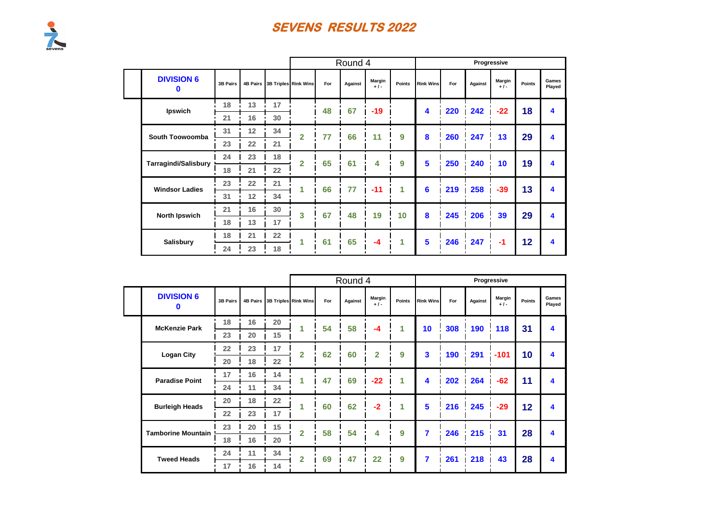|                             |          |                 |    |                               |     | Round 4 |                |        |                  |     |         | Progressive     |        |                  |
|-----------------------------|----------|-----------------|----|-------------------------------|-----|---------|----------------|--------|------------------|-----|---------|-----------------|--------|------------------|
| <b>DIVISION 6</b><br>0      | 3B Pairs |                 |    | 4B Pairs 3B Triples Rink Wins | For | Against | Margin<br>$+1$ | Points | <b>Rink Wins</b> | For | Against | Margin<br>$+1-$ | Points | Games<br>Played  |
| Ipswich                     | 18       | 13              | 17 |                               | 48  | 67      | $-19$          |        | 4                | 220 | 242     | $-22$           | 18     | $\boldsymbol{4}$ |
|                             | 21       | 16              | 30 |                               |     |         |                |        |                  |     |         |                 |        |                  |
| South Toowoomba             | 31       | 12              | 34 | $\overline{2}$                | 77  | 66      | 11             | 9      | 8                | 260 | 247     | 13              | 29     | 4                |
|                             | 23       | 22              | 21 |                               |     |         |                |        |                  |     |         |                 |        |                  |
| <b>Tarragindi/Salisbury</b> | 24       | 23              | 18 | $\overline{2}$                | 65  | 61      | 4              | 9      | 5                | 250 | 240     | 10              | 19     | 4                |
|                             | 18       | 21              | 22 |                               |     |         |                |        |                  |     |         |                 |        |                  |
| <b>Windsor Ladies</b>       | 23       | 22              | 21 | 1                             | 66  | 77      | $-11$          | 1      | 6                | 219 | 258     | $-39$           | 13     | $\boldsymbol{4}$ |
|                             | 31       | 12 <sup>2</sup> | 34 |                               |     |         |                |        |                  |     |         |                 |        |                  |
| <b>North Ipswich</b>        | 21       | 16              | 30 | 3                             | 67  | 48      | 19             | 10     | 8                | 245 | 206     | 39              | 29     | $\boldsymbol{4}$ |
|                             | 18       | 13              | 17 |                               |     |         |                |        |                  |     |         |                 |        |                  |
| <b>Salisbury</b>            | 18       | 21              | 22 | ч                             | 61  | 65      | $-4$           | 1      | 5                | 246 | 247     | -1              | 12     | $\boldsymbol{4}$ |
|                             | 24       | 23              | 18 |                               |     |         |                |        |                  |     |         |                 |        |                  |

|                           |                 |                 |                      |                |     | Round 4 |                |        |                  |     | Progressive |                |        |                 |
|---------------------------|-----------------|-----------------|----------------------|----------------|-----|---------|----------------|--------|------------------|-----|-------------|----------------|--------|-----------------|
| <b>DIVISION 6</b><br>O    | <b>3B Pairs</b> | <b>4B Pairs</b> | 3B Triples Rink Wins |                | For | Against | Margin<br>$+1$ | Points | <b>Rink Wins</b> | For | Against     | Margin<br>$+1$ | Points | Games<br>Played |
| <b>McKenzie Park</b>      | 18              | 16              | 20                   |                | 54  | 58      | $-4$           | 1      | 10               | 308 | 190         | 118            | 31     | 4               |
|                           | 23              | 20              | 15                   |                |     |         |                |        |                  |     |             |                |        |                 |
| <b>Logan City</b>         | 22              | 23              | 17                   | $\overline{2}$ | 62  | 60      | $\overline{2}$ | 9      | 3                | 190 | 291         | $-101$         | 10     | 4               |
|                           | 20              | 18              | 22                   |                |     |         |                |        |                  |     |             |                |        |                 |
| <b>Paradise Point</b>     | 17              | 16              | 14                   | 1              | 47  | 69      | $-22$          | 1      | 4                | 202 | 264         | $-62$          | 11     | 4               |
|                           | 24              | 11              | 34                   |                |     |         |                |        |                  |     |             |                |        |                 |
| <b>Burleigh Heads</b>     | 20              | 18              | 22                   | 1              | 60  | 62      | $-2$           | 1      | 5                | 216 | 245         | $-29$          | 12     | 4               |
|                           | 22              | 23              | 17                   |                |     |         |                |        |                  |     |             |                |        |                 |
| <b>Tamborine Mountain</b> | 23              | 20              | 15                   | $\overline{2}$ | 58  | 54      | 4              | 9      | 7                | 246 | 215         | 31             | 28     | 4               |
|                           | 18              | 16              | 20                   |                |     |         |                |        |                  |     |             |                |        |                 |
| <b>Tweed Heads</b>        | 24              | 11              | 34                   | $\overline{2}$ | 69  | 47      | 22             | 9      | 7                | 261 | 218         | 43             | 28     | 4               |
|                           | 17              | 16              | 14                   |                |     |         |                |        |                  |     |             |                |        |                 |

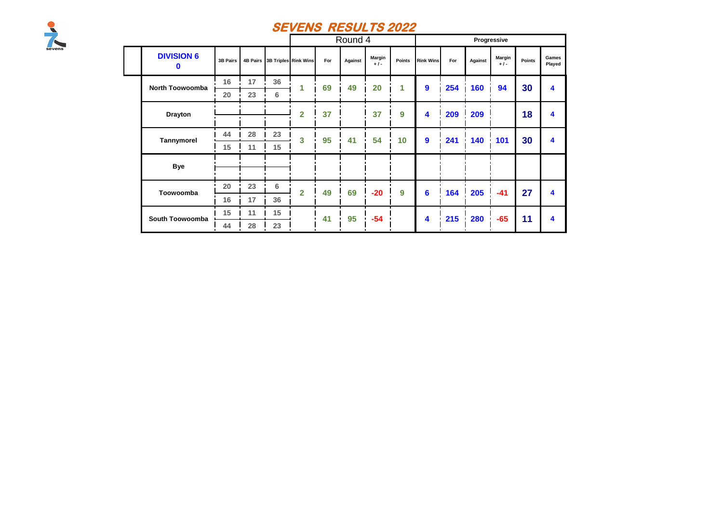

|                                  |                 |    |         |                               |     | Round 4 |                |        |                  |     |         | Progressive            |        |                 |
|----------------------------------|-----------------|----|---------|-------------------------------|-----|---------|----------------|--------|------------------|-----|---------|------------------------|--------|-----------------|
| <b>DIVISION 6</b><br>$\mathbf 0$ | <b>3B Pairs</b> |    |         | 4B Pairs 3B Triples Rink Wins | For | Against | Margin<br>$+1$ | Points | <b>Rink Wins</b> | For | Against | <b>Margin</b><br>$+1-$ | Points | Games<br>Played |
| <b>North Toowoomba</b>           | 16              | 17 | 36      | 1                             | 69  | 49      | 20             | 1      | $\boldsymbol{9}$ | 254 | 160     | 94                     | 30     | 4               |
|                                  | 20              | 23 | 6       |                               |     |         |                |        |                  |     |         |                        |        |                 |
| <b>Drayton</b>                   |                 |    |         | $\overline{2}$                | 37  |         | 37             | 9      | 4                | 209 | 209     |                        | 18     | 4               |
| Tannymorel                       | 44              | 28 | 23      | $\mathbf{3}$                  | 95  | 41      | 54             | 10     | $\boldsymbol{9}$ | 241 | 140     | 101                    | 30     | 4               |
|                                  | 15              | 11 | 15      |                               |     |         |                |        |                  |     |         |                        |        |                 |
| <b>Bye</b>                       |                 |    |         |                               |     |         |                |        |                  |     |         |                        |        |                 |
| Toowoomba                        | 20              | 23 | $\bf 6$ | $\overline{2}$                | 49  | 69      | $-20$          | 9      | 6                | 164 | 205     | $-41$                  | 27     | 4               |
|                                  | 16              | 17 | 36      |                               |     |         |                |        |                  |     |         |                        |        |                 |
| South Toowoomba                  | 15              | 11 | 15      |                               | 41  | 95      | $-54$          |        | 4                | 215 | 280     | $-65$                  | 11     | 4               |
|                                  | 44              | 28 | 23      |                               |     |         |                |        |                  |     |         |                        |        |                 |